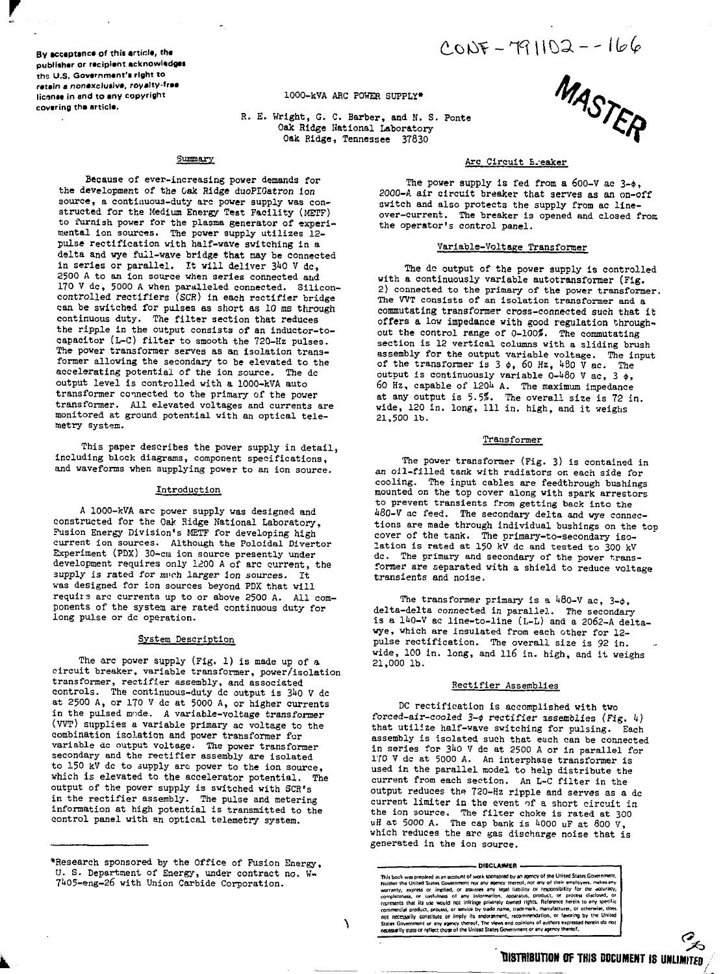$CONF - T91102 - - 166$ 

**By acceptance of this article, the publlihar or racipiant acknowladgai the U.S. Gavarnmant'i right to ratain a nonaxclutlva, royalty-fraa** license in and to any copyright **covaring tha articla.**

# **1000-kVA ARC POWER SUPPLY\***

R. E. Wright, G. C. Barber, and K. S. Ponte Oak Ridge National Laboratory Oak Hidge, Tennessee 37830



# Summary

Because of ever-increasing power demands for the development of the Oak Ridge duoPIGatron ion source, a continuous-duty arc power supply was constructed for the Medium Energy Test Facility (METF) to furnish power for the plasma generator of experi-mental ion sources. The power supply utilizes 12 pulse rectification with half-wave switching in a delta and wye full-wave bridge that nay be connected in series or parallel. It will deliver 340 V dc, 2500 A to an ion source when series connected and 170 V dc, 5000 A when paralleled connected. Silicon-controlled rectifiers (SCR) in each rsctifier bridge can be switched for pulses as short as 10 ms through continuous duty. The filter section that reduces the ripple in the output consists of an inductor-tocapacitor (L-C) filter to smooth the 720-Hz pulses. The power transformer serves as an isolation transformer allowing the secondary to be elevated to the accelerating potential of the ion source. The dc output level is controlled with a 1000-kVA auto transformer connected to the primary of the power transformer. All elevated voltages and currents are monitored at ground potential with an optical telemetry system.

This paper describes the power supply in detail, including block diagrams, component specifications, and waveforms when supplying power to an ion source.

## Introduction

A 1000-kVA arc power supply was designed and constructed for the Oak Ridge National Laboratory, Fusion Energy Division's METF for developing high current ion sources. Although the Poloidal Divertor Experiment (PDX) 30-cm ion source presently under development requires only 1,200 A of arc current, the 3upply is rated for much larger ion sources. It was designed for ion sources beyond PDX that will requir? arc currents up to or above 2500 A. All components of the system are rated continuous duty for long pulse or dc operation.

### System Description

The arc power supply (Fig. 1) is made up of a circuit breaker, variable transformer, power/isolation transformer, rectifier assembly, and associated controls. The continuous-duty dc output is 340 V dc at 2500 A, or 170 V dc at 5000 A, or higher currents in the pulsed mode. A variable-voltage transformer (WT) supplies a variable primary ac voltage to the combination isolation and power transformer for variable dc output voltage. The power transformer secondary and the rectifier assembly are isolated to 150 kV dc to supply are power to the ion source, which is elevated to the accelerator potential. The output of the power supply is switched with SCR's in the rectifier assembly. The pulse and metering information at high potential is transmitted to the control panel with an optical telemetry system.

### Arc Circuit Ereaker

The power supply is fed from a 600-V ac  $3-\phi$ , 2000-A air circuit breaker that serves as an on-off switch and also protects the supply from ac lineover-current. The breaker is opened and closed from the operator's control panel.

### Variable-Voltage Transformer

The de output of the power supply is controlled with a continuously variable autotransformer (Fig. 2) connected to the primary of the power transformer. The VVT consists of an isolation transformer and a commutating transformer cross-connected such that it offers a low impedance with good regulation throughout the control range of 0-100?. The commutating section is 12 vertical columns with a sliding brush assembly for the output variable voltage. The input of the transformer is 3  $\phi$ , 60 Hz, 480 V ac. The output is continuously variable 0-480 V ac. 3  $\phi$ . 60 Hz, capable of 120k A. The maximum impedance at any output is 5.5?. The overall size is 72 in. wide, 120 in. long. 111 in. high, and it weighs 21,500 lb.

#### Transformer

The power transformer (Fig. 3) is contained in an oil-filled tank with radiators on each side for cooling. The input cables are feedthrough bushings mounted on the top cover along with spark arrestors to prevent transients from getting back into the 480-V ac feed. The secondary delta and wye connections are made through individual bushings on the top cover of the tank. The primary-to-secondary isolation is rated at 150 kV dc and tested to 300 kV dc. The primary and secondary of the power transformer are separated with a shield to reduce voltage transients and noise.

The transformer primary is a  $480-V$  ac,  $3-4$ , delta-delta connected in parallel. The secondary is a  $140-V$  ac line-to-line (L-L) and a 2062-A deltawye, which are insulated from each other for 12 pulse rectification. The overall size is 92 in. wide, 100 in. long, and 116 in. high, and it weighs 21,000 lb.

### Rectifier Assemblies

DC rectification is accomplished with two forced-air-cooled  $3-$ ¢ rectifier assemblies (Fig. 4) that utilize half-wave switching for pulsing. Each assembly is isolated such that each can be connected in series for 340 V dc at 2500 A or in parallel for 170 V dc at 5000 A. An interphase transformer is used in the parallel model to help distribute the current from each section. An L-C filter in the output reduces the 720-Hz ripple and serves as a dc current limiter in the event of a short circuit in the ion source. The filter choke is rated at 300<br>uH at 5000 A. The cap bank is 4000 uF at 800 V which reduces the arc gas discharge noise that is generated in the ion source.

#### **- DISCLAIMER -**

This book was presented as an account of work someoned by an agency of the United States Government.<br>Neither the United States Government for any apency mercol, onr any of their employees, makes any<br>servanty, express or in

Y

<sup>\*</sup>Research sponsored by the Office of Fusion Energy, U. S. Department of Energy, under contract no. W-7!»05-eng-26 with Union Carbide Corporation.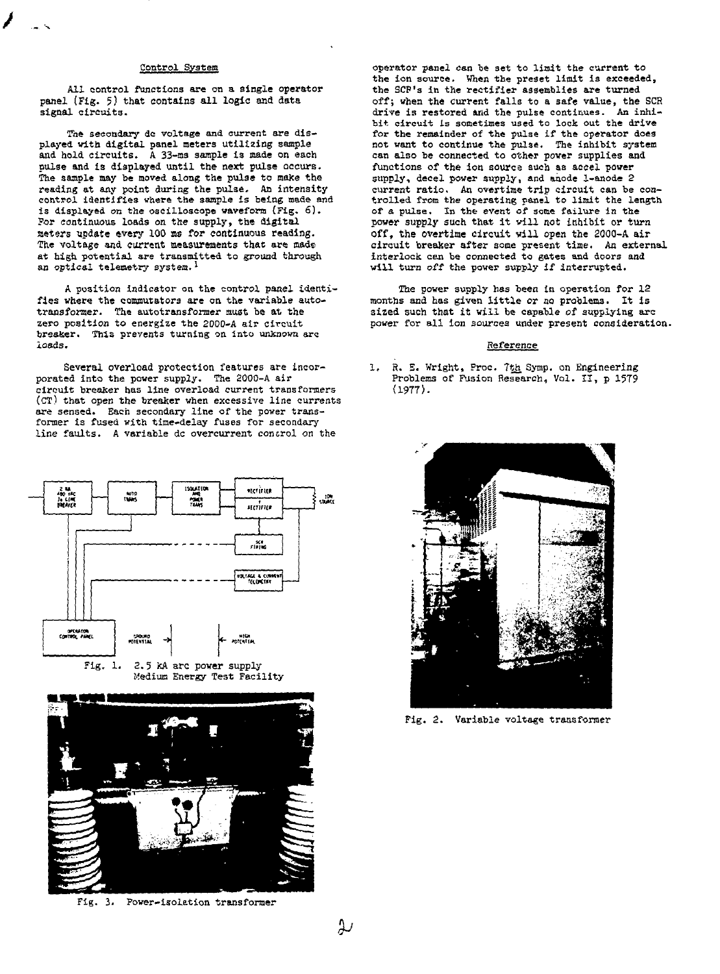### Control System

All control functions are on a single operator panel (Fig. 5) that contains all logic and data signal circuits.

The secondary de voltage and current are displayed with digital panel meters utilizing sample and hold circuits. A 33-ms sample is made on each pulse and is displayed until the next pulse occurs. The sample may be moved along the pulse to make the reading at any point during the pulse. An intensity<br>control identifies where the sample is being made and is displayed on the oscilloscope waveform {Fig. 6). ?or continuous loads on the supply, the digital Meters update every 100 as for continuous reading. The voltage and current measurements that are made at high, potential are transmitted to ground through an optical telemetry system.<sup>1</sup>

A position indicator on the control panel identifies vhere the commutators are on the variable autotransformer. The autotransformer must be at the zero position to energize the 2000-A air circuit breaker. This prevents turning on into unknown arc loads.

Several overload protection features are incorporated into the power supply. The 2000-A air circuit breaker has line overload current transformers (CT) that open the breaker when excessive line currents are sensed. Each secondary line of the power transformer is fused with time-delay fuses for secondary line faults. A variable dc overcurrent control on the





Fig. 3. Power-isolation transformer

operator panel can be set to limit the current to the ion source. When the preset limit is exceeded, the SCP's in the rectifier assemblies are turned off; when the current falls to a safe value, the SCR drive is restored and the pulse continues. An inhibit circuit is sometimes used to lock out the drive for the remainder of the pulse if the operator does not want to continue the pulse. The inhibit system can also be connected to other pover supplies and functions of the ion sourca such as aeeel power supply, decel power supply, and anode 1-anode 2 current ratio. An overtime trip circuit can be controlled from the operating panel to limit the length of a pulse. In the event of some failure in the power supply such that it will not inhibit or turn off, the overtime circuit vill open the 2000-A air circuit breaker after some present time. An external interlock can be connected to gates and doors and will turn off the power supply if interrupted.

The power supply has been in operation for 12 months and has given little or no problems. It is sized such that it vill be capable of supplying arc power for all ion sources under present consideration.

# Reference

1. R. E. Wright, Proc. 7th Symp. on Engineering Problems of Fusion Research, Vol. II, p 1579 (1977).



Fig. 2. Variable voltage transformer